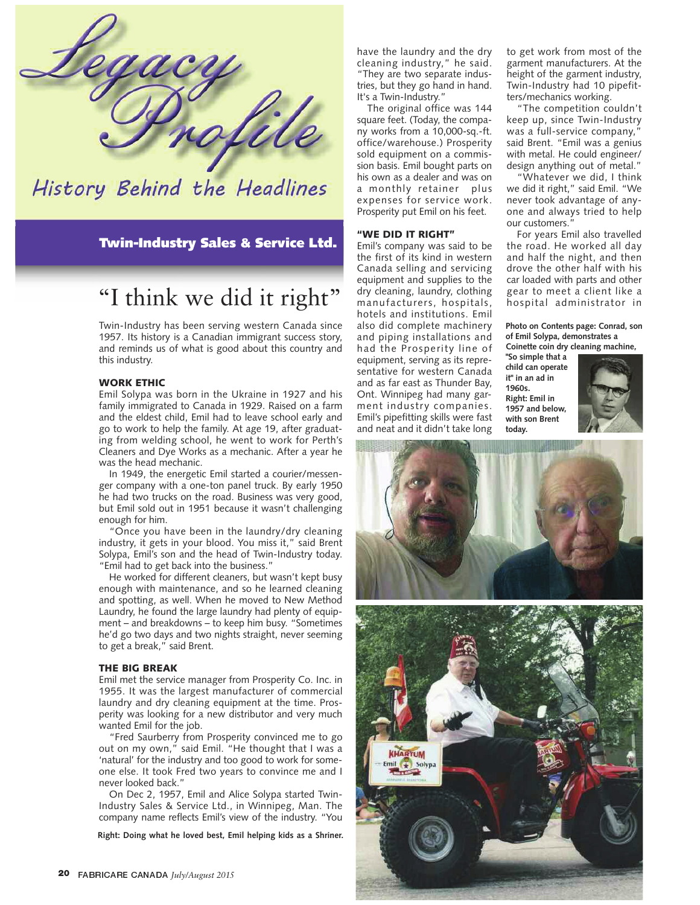

## History Behind the Headlines

Twin-Industry Sales & Service Ltd.

# "I think we did it right"

Twin-Industry has been serving western Canada since 1957. Its history is a Canadian immigrant success story, and reminds us of what is good about this country and this industry.

## WORK ETHIC

Emil Solypa was born in the Ukraine in 1927 and his family immigrated to Canada in 1929. Raised on a farm and the eldest child, Emil had to leave school early and go to work to help the family. At age 19, after graduating from welding school, he went to work for Perth's Cleaners and Dye Works as a mechanic. After a year he was the head mechanic.

In 1949, the energetic Emil started a courier/messenger company with a one-ton panel truck. By early 1950 he had two trucks on the road. Business was very good, but Emil sold out in 1951 because it wasn't challenging enough for him.

"Once you have been in the laundry/dry cleaning industry, it gets in your blood. You miss it," said Brent Solypa, Emil's son and the head of Twin-Industry today. "Emil had to get back into the business."

He worked for different cleaners, but wasn't kept busy enough with maintenance, and so he learned cleaning and spotting, as well. When he moved to New Method Laundry, he found the large laundry had plenty of equipment – and breakdowns – to keep him busy. "Sometimes he'd go two days and two nights straight, never seeming to get a break," said Brent.

#### THE BIG BREAK

Emil met the service manager from Prosperity Co. Inc. in 1955. It was the largest manufacturer of commercial laundry and dry cleaning equipment at the time. Prosperity was looking for a new distributor and very much wanted Emil for the job.

"Fred Saurberry from Prosperity convinced me to go out on my own," said Emil. "He thought that I was a 'natural' for the industry and too good to work for someone else. It took Fred two years to convince me and I never looked back."

On Dec 2, 1957, Emil and Alice Solypa started Twin-Industry Sales & Service Ltd., in Winnipeg, Man. The company name reflects Emil's view of the industry. "You

**Right: Doing what he loved best, Emil helping kids as a Shriner.**

have the laundry and the dry cleaning industry," he said. "They are two separate industries, but they go hand in hand. It's a Twin-Industry."

The original office was 144 square feet. (Today, the company works from a 10,000-sq.-ft. office/warehouse.) Prosperity sold equipment on a commission basis. Emil bought parts on his own as a dealer and was on a monthly retainer plus expenses for service work. Prosperity put Emil on his feet.

#### "WE DID IT RIGHT"

Emil's company was said to be the first of its kind in western Canada selling and servicing equipment and supplies to the dry cleaning, laundry, clothing manufacturers, hospitals, hotels and institutions. Emil also did complete machinery and piping installations and had the Prosperity line of equipment, serving as its representative for western Canada and as far east as Thunder Bay, Ont. Winnipeg had many garment industry companies. Emil's pipefitting skills were fast and neat and it didn't take long to get work from most of the garment manufacturers. At the height of the garment industry, Twin-Industry had 10 pipefitters/mechanics working.

"The competition couldn't keep up, since Twin-Industry was a full-service company, said Brent. "Emil was a genius with metal. He could engineer/ design anything out of metal."

"Whatever we did, I think we did it right," said Emil. "We never took advantage of anyone and always tried to help our customers."

For years Emil also travelled the road. He worked all day and half the night, and then drove the other half with his car loaded with parts and other gear to meet a client like a hospital administrator in

#### **Photo on Contents page: Conrad, son of Emil Solypa, demonstrates a Coinette coin dry cleaning machine,**

**"So simple that a child can operate it" in an ad in 1960s. Right: Emil in 1957 and below, with son Brent today.**